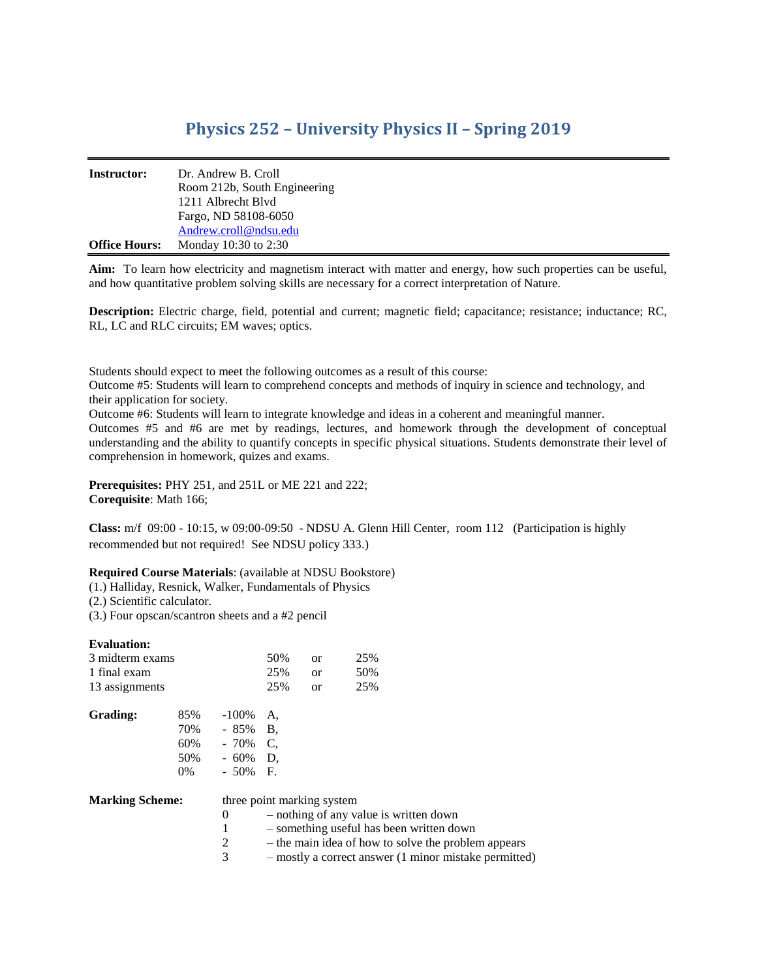## **Physics 252 – University Physics II – Spring 2019**

| <b>Instructor:</b>   | Dr. Andrew B. Croll          |
|----------------------|------------------------------|
|                      | Room 212b, South Engineering |
|                      | 1211 Albrecht Blyd           |
|                      | Fargo, ND 58108-6050         |
|                      | Andrew.croll@ndsu.edu        |
| <b>Office Hours:</b> | Monday 10:30 to 2:30         |

**Aim:** To learn how electricity and magnetism interact with matter and energy, how such properties can be useful, and how quantitative problem solving skills are necessary for a correct interpretation of Nature.

**Description:** Electric charge, field, potential and current; magnetic field; capacitance; resistance; inductance; RC, RL, LC and RLC circuits; EM waves; optics.

Students should expect to meet the following outcomes as a result of this course:

Outcome #5: Students will learn to comprehend concepts and methods of inquiry in science and technology, and their application for society.

Outcome #6: Students will learn to integrate knowledge and ideas in a coherent and meaningful manner.

Outcomes #5 and #6 are met by readings, lectures, and homework through the development of conceptual understanding and the ability to quantify concepts in specific physical situations. Students demonstrate their level of comprehension in homework, quizes and exams.

**Prerequisites:** PHY 251, and 251L or ME 221 and 222; **Corequisite**: Math 166;

**Class:** m/f 09:00 - 10:15, w 09:00-09:50 - NDSU A. Glenn Hill Center, room 112 (Participation is highly recommended but not required! See NDSU policy 333.)

## **Required Course Materials**: (available at NDSU Bookstore)

(1.) Halliday, Resnick, Walker, Fundamentals of Physics

- (2.) Scientific calculator.
- (3.) Four opscan/scantron sheets and a #2 pencil

| <b>Evaluation:</b>     |       |            |     |                            |                                          |                                                       |
|------------------------|-------|------------|-----|----------------------------|------------------------------------------|-------------------------------------------------------|
| 3 midterm exams        |       |            | 50% | <b>or</b>                  | 25%                                      |                                                       |
| 1 final exam           |       |            | 25% | <sub>or</sub>              | 50%                                      |                                                       |
| 13 assignments         |       |            | 25% | <b>or</b>                  | 25%                                      |                                                       |
| Grading:               | 85%   | -100%      | A.  |                            |                                          |                                                       |
|                        | 70%   | $-85\%$ B. |     |                            |                                          |                                                       |
|                        | 60%   | $-70\%$ C, |     |                            |                                          |                                                       |
|                        | 50%   | $-60\%$ D, |     |                            |                                          |                                                       |
|                        | $0\%$ | $-50\%$ F. |     |                            |                                          |                                                       |
| <b>Marking Scheme:</b> |       |            |     | three point marking system |                                          |                                                       |
|                        |       | 0          |     |                            | - nothing of any value is written down   |                                                       |
|                        |       | 1          |     |                            | - something useful has been written down |                                                       |
|                        |       | 2          |     |                            |                                          | - the main idea of how to solve the problem appears   |
|                        |       | 3          |     |                            |                                          | - mostly a correct answer (1 minor mistake permitted) |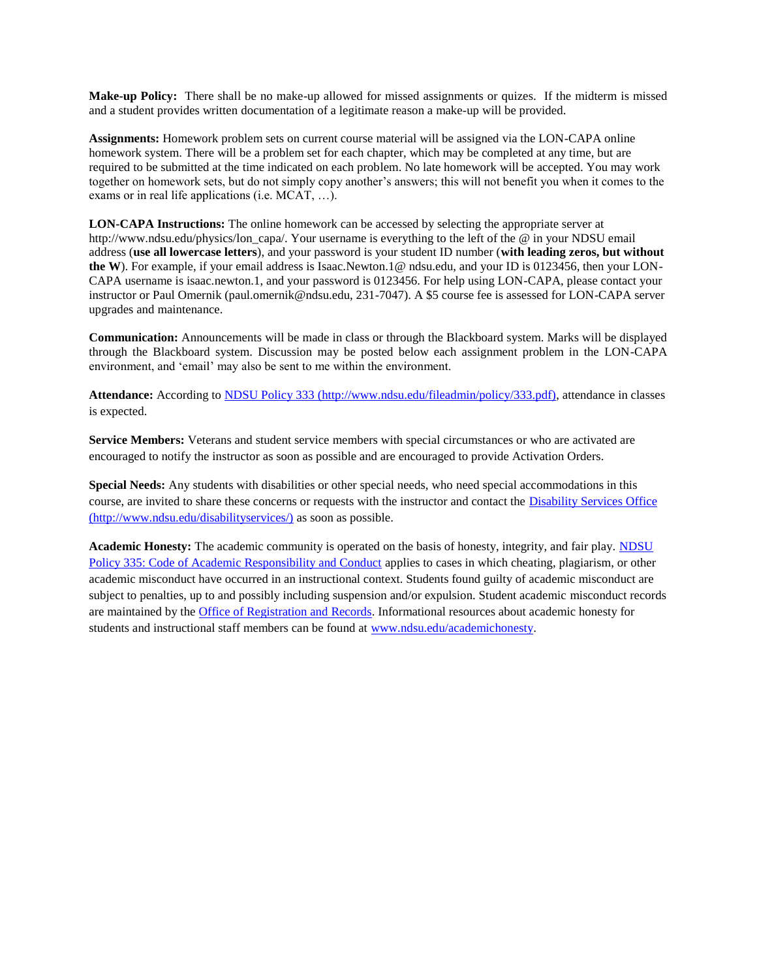**Make-up Policy:** There shall be no make-up allowed for missed assignments or quizes. If the midterm is missed and a student provides written documentation of a legitimate reason a make-up will be provided.

**Assignments:** Homework problem sets on current course material will be assigned via the LON-CAPA online homework system. There will be a problem set for each chapter, which may be completed at any time, but are required to be submitted at the time indicated on each problem. No late homework will be accepted. You may work together on homework sets, but do not simply copy another's answers; this will not benefit you when it comes to the exams or in real life applications (i.e. MCAT, …).

**LON-CAPA Instructions:** The online homework can be accessed by selecting the appropriate server at http://www.ndsu.edu/physics/lon\_capa/. Your username is everything to the left of the @ in your NDSU email address (**use all lowercase letters**), and your password is your student ID number (**with leading zeros, but without the W**). For example, if your email address is Isaac.Newton.1@ ndsu.edu, and your ID is 0123456, then your LON-CAPA username is isaac.newton.1, and your password is 0123456. For help using LON-CAPA, please contact your instructor or Paul Omernik (paul.omernik@ndsu.edu, 231-7047). A \$5 course fee is assessed for LON-CAPA server upgrades and maintenance.

**Communication:** Announcements will be made in class or through the Blackboard system. Marks will be displayed through the Blackboard system. Discussion may be posted below each assignment problem in the LON-CAPA environment, and 'email' may also be sent to me within the environment.

**Attendance:** According t[o NDSU Policy 333](http://www.ndsu.edu/fileadmin/policy/333.pdf) (http://www.ndsu.edu/fileadmin/policy/333.pdf), attendance in classes is expected.

**Service Members:** Veterans and student service members with special circumstances or who are activated are encouraged to notify the instructor as soon as possible and are encouraged to provide Activation Orders.

**Special Needs:** Any students with disabilities or other special needs, who need special accommodations in this course, are invited to share these concerns or requests with the instructor and contact the [Disability Services Office](http://www.ndsu.edu/disabilityservices/) (http://www.ndsu.edu/disabilityservices/) as soon as possible.

**Academic Honesty:** The academic community is operated on the basis of honesty, integrity, and fair play. [NDSU](http://www.ndsu.edu/fileadmin/policy/335.pdf)  [Policy 335: Code of Academic Responsibility and Conduct](http://www.ndsu.edu/fileadmin/policy/335.pdf) applies to cases in which cheating, plagiarism, or other academic misconduct have occurred in an instructional context. Students found guilty of academic misconduct are subject to penalties, up to and possibly including suspension and/or expulsion. Student academic misconduct records are maintained by the [Office of Registration and Records.](http://www.ndsu.edu/registrar/) Informational resources about academic honesty for students and instructional staff members can be found at [www.ndsu.edu/academichonesty.](http://www.ndsu.edu/academichonesty)